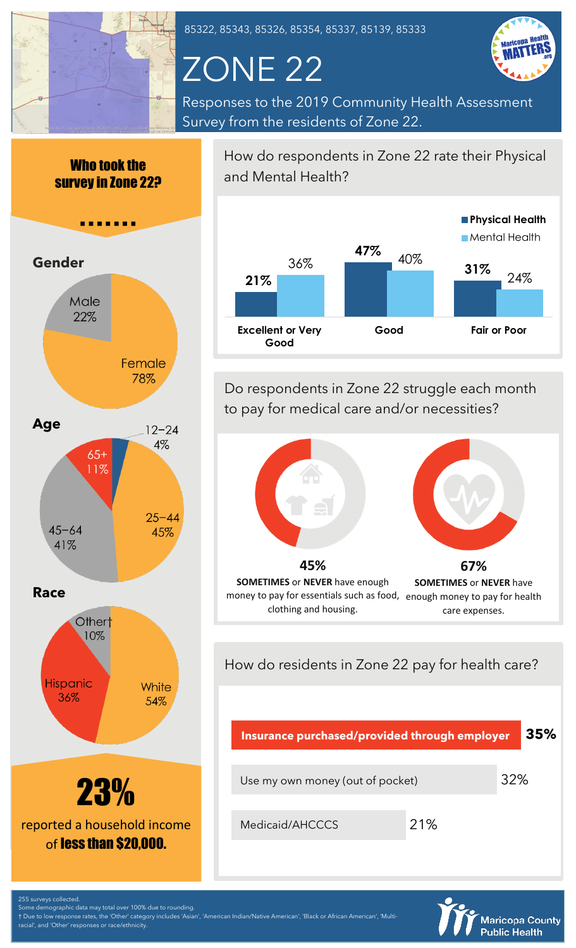

85322, 85343, 85326, 85354, 85337, 85139, 85333

# ZONE 22



Responses to the 2019 Community Health Assessment Survey from the residents of Zone 22.





How do respondents in Zone 22 rate their Physical and Mental Health?



Do respondents in Zone 22 struggle each month to pay for medical care and/or necessities?



money to pay for essentials such as food, enough money to pay for health care expenses. clothing and housing.

How do residents in Zone 22 pay for health care?





255 surveys collected.

Some demographic data may total over 100% due to rounding. † Due to low response rates, the 'Other' category includes 'Asian', 'American Indian/Native American', 'Black or African American', 'Multi-

al', and 'Other' responses or race/ethnicity